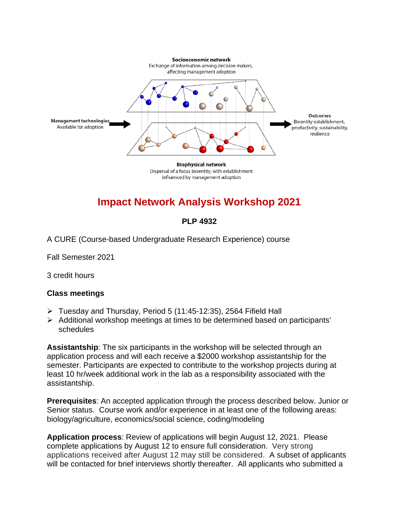

# influenced by management adoption

## **Impact Network Analysis Workshop 2021**

## **PLP 4932**

A CURE (Course-based Undergraduate Research Experience) course

Fall Semester 2021

3 credit hours

## **Class meetings**

- Tuesday and Thursday, Period 5 (11:45-12:35), 2564 Fifield Hall
- Additional workshop meetings at times to be determined based on participants' schedules

**Assistantship**: The six participants in the workshop will be selected through an application process and will each receive a \$2000 workshop assistantship for the semester. Participants are expected to contribute to the workshop projects during at least 10 hr/week additional work in the lab as a responsibility associated with the assistantship.

**Prerequisites**: An accepted application through the process described below. Junior or Senior status. Course work and/or experience in at least one of the following areas: biology/agriculture, economics/social science, coding/modeling

**Application process**: Review of applications will begin August 12, 2021. Please complete applications by August 12 to ensure full consideration. Very strong applications received after August 12 may still be considered. A subset of applicants will be contacted for brief interviews shortly thereafter. All applicants who submitted a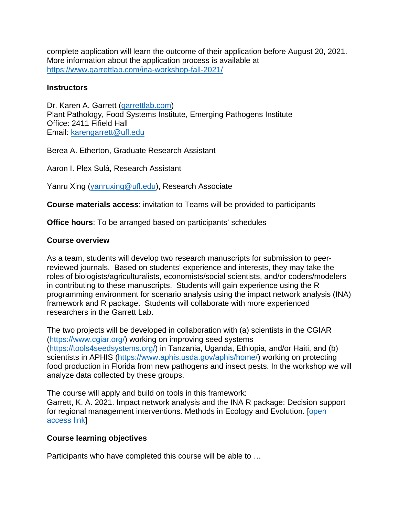complete application will learn the outcome of their application before August 20, 2021. More information about the application process is available at <https://www.garrettlab.com/ina-workshop-fall-2021/>

## **Instructors**

Dr. Karen A. Garrett [\(garrettlab.com\)](http://www.garrettlab.com/) Plant Pathology, Food Systems Institute, Emerging Pathogens Institute Office: 2411 Fifield Hall Email: [karengarrett@ufl.edu](mailto:karengarrett@ufl.edu)

Berea A. Etherton, Graduate Research Assistant

Aaron I. Plex Sulá, Research Assistant

Yanru Xing [\(yanruxing@ufl.edu\)](mailto:yanruxing@ufl.edu), Research Associate

**Course materials access**: invitation to Teams will be provided to participants

**Office hours**: To be arranged based on participants' schedules

## **Course overview**

As a team, students will develop two research manuscripts for submission to peerreviewed journals. Based on students' experience and interests, they may take the roles of biologists/agriculturalists, economists/social scientists, and/or coders/modelers in contributing to these manuscripts. Students will gain experience using the R programming environment for scenario analysis using the impact network analysis (INA) framework and R package. Students will collaborate with more experienced researchers in the Garrett Lab.

The two projects will be developed in collaboration with (a) scientists in the CGIAR [\(https://www.cgiar.org/\)](https://www.cgiar.org/) working on improving seed systems [\(https://tools4seedsystems.org/\)](https://tools4seedsystems.org/) in Tanzania, Uganda, Ethiopia, and/or Haiti, and (b) scientists in APHIS [\(https://www.aphis.usda.gov/aphis/home/\)](https://www.aphis.usda.gov/aphis/home/) working on protecting food production in Florida from new pathogens and insect pests. In the workshop we will analyze data collected by these groups.

The course will apply and build on tools in this framework: Garrett, K. A. 2021. Impact network analysis and the INA R package: Decision support for regional management interventions. Methods in Ecology and Evolution. [open [access link\]](https://besjournals.onlinelibrary.wiley.com/doi/10.1111/2041-210X.13655)

## **Course learning objectives**

Participants who have completed this course will be able to …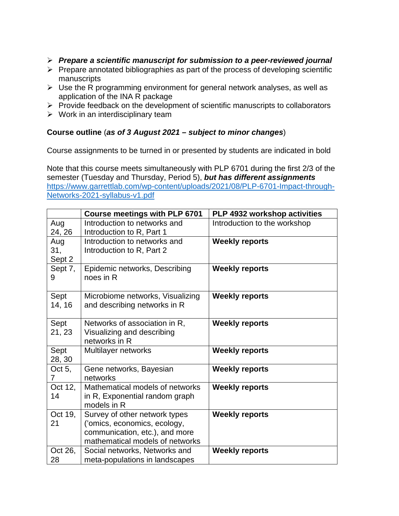- *Prepare a scientific manuscript for submission to a peer-reviewed journal*
- $\triangleright$  Prepare annotated bibliographies as part of the process of developing scientific manuscripts
- $\triangleright$  Use the R programming environment for general network analyses, as well as application of the INA R package
- $\triangleright$  Provide feedback on the development of scientific manuscripts to collaborators
- $\triangleright$  Work in an interdisciplinary team

## **Course outline** (*as of 3 August 2021 – subject to minor changes*)

Course assignments to be turned in or presented by students are indicated in bold

Note that this course meets simultaneously with PLP 6701 during the first 2/3 of the semester (Tuesday and Thursday, Period 5), *but has different assignments* [https://www.garrettlab.com/wp-content/uploads/2021/08/PLP-6701-Impact-through-](https://www.garrettlab.com/wp-content/uploads/2021/08/PLP-6701-Impact-through-Networks-2021-syllabus-v1.pdf)[Networks-2021-syllabus-v1.pdf](https://www.garrettlab.com/wp-content/uploads/2021/08/PLP-6701-Impact-through-Networks-2021-syllabus-v1.pdf)

|                      | <b>Course meetings with PLP 6701</b>                                                                                               | PLP 4932 workshop activities |
|----------------------|------------------------------------------------------------------------------------------------------------------------------------|------------------------------|
| Aug<br>24, 26        | Introduction to networks and<br>Introduction to R, Part 1                                                                          | Introduction to the workshop |
| Aug<br>31,<br>Sept 2 | Introduction to networks and<br>Introduction to R, Part 2                                                                          | <b>Weekly reports</b>        |
| Sept 7,<br>9         | Epidemic networks, Describing<br>noes in R                                                                                         | <b>Weekly reports</b>        |
| Sept<br>14, 16       | Microbiome networks, Visualizing<br>and describing networks in R                                                                   | <b>Weekly reports</b>        |
| Sept<br>21, 23       | Networks of association in R,<br>Visualizing and describing<br>networks in R                                                       | <b>Weekly reports</b>        |
| Sept<br>28, 30       | Multilayer networks                                                                                                                | <b>Weekly reports</b>        |
| Oct 5,<br>7          | Gene networks, Bayesian<br>networks                                                                                                | <b>Weekly reports</b>        |
| Oct 12,<br>14        | Mathematical models of networks<br>in R, Exponential random graph<br>models in R                                                   | <b>Weekly reports</b>        |
| Oct 19,<br>21        | Survey of other network types<br>('omics, economics, ecology,<br>communication, etc.), and more<br>mathematical models of networks | <b>Weekly reports</b>        |
| Oct 26,<br>28        | Social networks, Networks and<br>meta-populations in landscapes                                                                    | <b>Weekly reports</b>        |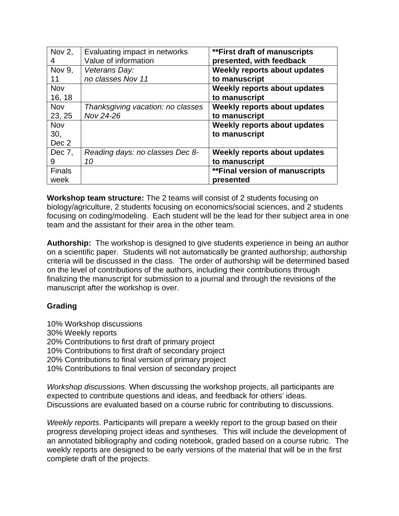| Nov 2,        | Evaluating impact in networks     | <b>**First draft of manuscripts</b>   |
|---------------|-----------------------------------|---------------------------------------|
| 4             | Value of information              | presented, with feedback              |
| Nov 9,        | Veterans Day:                     | Weekly reports about updates          |
| 11            | no classes Nov 11                 | to manuscript                         |
| Nov           |                                   | Weekly reports about updates          |
| 16, 18        |                                   | to manuscript                         |
| Nov           | Thanksgiving vacation: no classes | Weekly reports about updates          |
| 23, 25        | Nov 24-26                         | to manuscript                         |
| Nov           |                                   | Weekly reports about updates          |
| 30,           |                                   | to manuscript                         |
| Dec 2         |                                   |                                       |
| Dec 7,        | Reading days: no classes Dec 8-   | Weekly reports about updates          |
| 9             | 10                                | to manuscript                         |
| <b>Finals</b> |                                   | <b>**Final version of manuscripts</b> |
| week          |                                   | presented                             |

**Workshop team structure:** The 2 teams will consist of 2 students focusing on biology/agriculture, 2 students focusing on economics/social sciences, and 2 students focusing on coding/modeling. Each student will be the lead for their subject area in one team and the assistant for their area in the other team.

**Authorship:** The workshop is designed to give students experience in being an author on a scientific paper. Students will not automatically be granted authorship; authorship criteria will be discussed in the class. The order of authorship will be determined based on the level of contributions of the authors, including their contributions through finalizing the manuscript for submission to a journal and through the revisions of the manuscript after the workshop is over.

## **Grading**

10% Workshop discussions 30% Weekly reports 20% Contributions to first draft of primary project 10% Contributions to first draft of secondary project 20% Contributions to final version of primary project 10% Contributions to final version of secondary project

*Workshop discussions*. When discussing the workshop projects, all participants are expected to contribute questions and ideas, and feedback for others' ideas. Discussions are evaluated based on a course rubric for contributing to discussions.

*Weekly reports*. Participants will prepare a weekly report to the group based on their progress developing project ideas and syntheses. This will include the development of an annotated bibliography and coding notebook, graded based on a course rubric. The weekly reports are designed to be early versions of the material that will be in the first complete draft of the projects.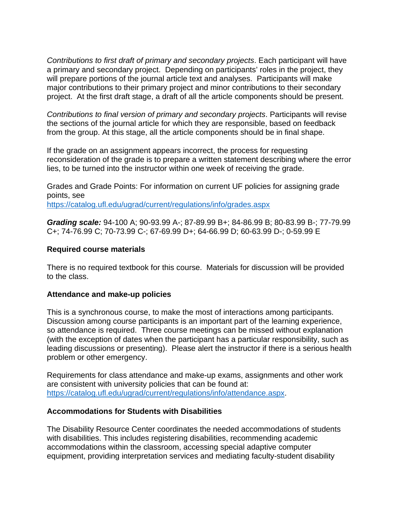*Contributions to first draft of primary and secondary projects*. Each participant will have a primary and secondary project. Depending on participants' roles in the project, they will prepare portions of the journal article text and analyses. Participants will make major contributions to their primary project and minor contributions to their secondary project. At the first draft stage, a draft of all the article components should be present.

*Contributions to final version of primary and secondary projects*. Participants will revise the sections of the journal article for which they are responsible, based on feedback from the group. At this stage, all the article components should be in final shape.

If the grade on an assignment appears incorrect, the process for requesting reconsideration of the grade is to prepare a written statement describing where the error lies, to be turned into the instructor within one week of receiving the grade.

Grades and Grade Points: For information on current UF policies for assigning grade points, see <https://catalog.ufl.edu/ugrad/current/regulations/info/grades.aspx>

*Grading scale:* 94-100 A; 90-93.99 A-; 87-89.99 B+; 84-86.99 B; 80-83.99 B-; 77-79.99 C+; 74-76.99 C; 70-73.99 C-; 67-69.99 D+; 64-66.99 D; 60-63.99 D-; 0-59.99 E

## **Required course materials**

There is no required textbook for this course. Materials for discussion will be provided to the class.

#### **Attendance and make-up policies**

This is a synchronous course, to make the most of interactions among participants. Discussion among course participants is an important part of the learning experience, so attendance is required. Three course meetings can be missed without explanation (with the exception of dates when the participant has a particular responsibility, such as leading discussions or presenting). Please alert the instructor if there is a serious health problem or other emergency.

Requirements for class attendance and make-up exams, assignments and other work are consistent with university policies that can be found at: [https://catalog.ufl.edu/ugrad/current/regulations/info/attendance.aspx.](https://catalog.ufl.edu/ugrad/current/regulations/info/attendance.aspx)

## **Accommodations for Students with Disabilities**

The Disability Resource Center coordinates the needed accommodations of students with disabilities. This includes registering disabilities, recommending academic accommodations within the classroom, accessing special adaptive computer equipment, providing interpretation services and mediating faculty-student disability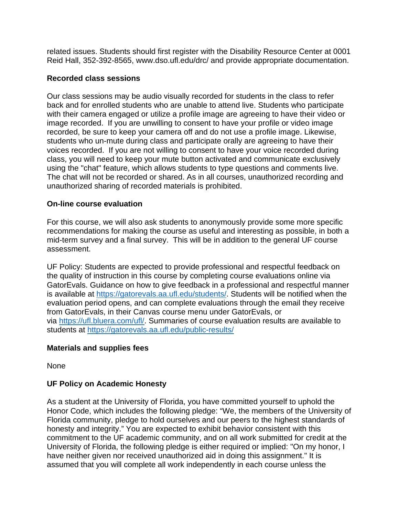related issues. Students should first register with the Disability Resource Center at 0001 Reid Hall, 352-392-8565, www.dso.ufl.edu/drc/ and provide appropriate documentation.

## **Recorded class sessions**

Our class sessions may be audio visually recorded for students in the class to refer back and for enrolled students who are unable to attend live. Students who participate with their camera engaged or utilize a profile image are agreeing to have their video or image recorded. If you are unwilling to consent to have your profile or video image recorded, be sure to keep your camera off and do not use a profile image. Likewise, students who un-mute during class and participate orally are agreeing to have their voices recorded. If you are not willing to consent to have your voice recorded during class, you will need to keep your mute button activated and communicate exclusively using the "chat" feature, which allows students to type questions and comments live. The chat will not be recorded or shared. As in all courses, unauthorized recording and unauthorized sharing of recorded materials is prohibited.

## **On-line course evaluation**

For this course, we will also ask students to anonymously provide some more specific recommendations for making the course as useful and interesting as possible, in both a mid-term survey and a final survey. This will be in addition to the general UF course assessment.

UF Policy: Students are expected to provide professional and respectful feedback on the quality of instruction in this course by completing course evaluations online via GatorEvals. Guidance on how to give feedback in a professional and respectful manner is available at [https://gatorevals.aa.ufl.edu/students/.](https://gatorevals.aa.ufl.edu/students/) Students will be notified when the evaluation period opens, and can complete evaluations through the email they receive from GatorEvals, in their Canvas course menu under GatorEvals, or via [https://ufl.bluera.com/ufl/.](https://ufl.bluera.com/ufl/) Summaries of course evaluation results are available to students at <https://gatorevals.aa.ufl.edu/public-results/>

## **Materials and supplies fees**

None

## **UF Policy on Academic Honesty**

As a student at the University of Florida, you have committed yourself to uphold the Honor Code, which includes the following pledge: "We, the members of the University of Florida community, pledge to hold ourselves and our peers to the highest standards of honesty and integrity." You are expected to exhibit behavior consistent with this commitment to the UF academic community, and on all work submitted for credit at the University of Florida, the following pledge is either required or implied: "On my honor, I have neither given nor received unauthorized aid in doing this assignment." It is assumed that you will complete all work independently in each course unless the